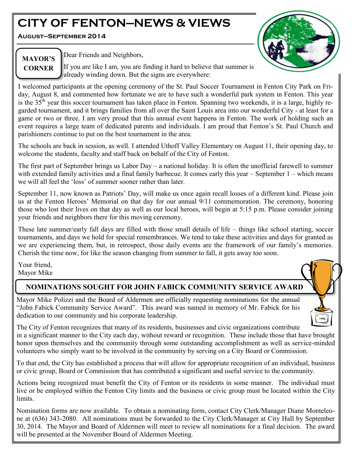# **CITY OF FENTON—NEWS & VIEWS**

**August—September 2014**



# **MAYOR'S CORNER**

Dear Friends and Neighbors,

If you are like I am, you are finding it hard to believe that summer is already winding down. But the signs are everywhere:

I welcomed participants at the opening ceremony of the St. Paul Soccer Tournament in Fenton City Park on Friday, August 8, and commented how fortunate we are to have such a wonderful park system in Fenton. This year is the 35<sup>th</sup> year this soccer tournament has taken place in Fenton. Spanning two weekends, it is a large, highly regarded tournament, and it brings families from all over the Saint Louis area into our wonderful City - at least for a game or two or three. I am very proud that this annual event happens in Fenton. The work of holding such an event requires a large team of dedicated parents and individuals. I am proud that Fenton's St. Paul Church and parishioners continue to put on the best tournament in the area.

The schools are back in session, as well. I attended Uthoff Valley Elementary on August 11, their opening day, to welcome the students, faculty and staff back on behalf of the City of Fenton.

The first part of September brings us Labor Day – a national holiday. It is often the unofficial farewell to summer with extended family activities and a final family barbecue. It comes early this year – September 1 – which means we will all feel the 'loss' of summer sooner rather than later.

September 11, now known as Patriots' Day, will make us once again recall losses of a different kind. Please join us at the Fenton Heroes' Memorial on that day for our annual 9/11 commemoration. The ceremony, honoring those who lost their lives on that day as well as our local heroes, will begin at 5:15 p.m. Please consider joining your friends and neighbors there for this moving ceremony.

These late summer/early fall days are filled with those small details of life – things like school starting, soccer tournaments, and days we hold for special remembrances. We tend to take these activities and days for granted as we are experiencing them, but, in retrospect, those daily events are the framework of our family's memories. Cherish the time now, for like the season changing from summer to fall, it gets away too soon.

Your friend, Mayor Mike

# **NOMINATIONS SOUGHT FOR JOHN FABICK COMMUNITY SERVICE AWARD**

Mayor Mike Polizzi and the Board of Aldermen are officially requesting nominations for the annual "John Fabick Community Service Award". This award was named in memory of Mr. Fabick for his dedication to our community and his corporate leadership.



The City of Fenton recognizes that many of its residents, businesses and civic organizations contribute in a significant manner to the City each day, without reward or recognition. These include those that have brought honor upon themselves and the community through some outstanding accomplishment as well as service-minded volunteers who simply want to be involved in the community by serving on a City Board or Commission.

To that end, the City has established a process that will allow for appropriate recognition of an individual, business or civic group, Board or Commission that has contributed a significant and useful service to the community.

Actions being recognized must benefit the City of Fenton or its residents in some manner. The individual must live or be employed within the Fenton City limits and the business or civic group must be located within the City limits.

Nomination forms are now available. To obtain a nominating form, contact City Clerk/Manager Diane Monteleone at (636) 343-2080. All nominations must be forwarded to the City Clerk/Manager at City Hall by September 30, 2014. The Mayor and Board of Aldermen will meet to review all nominations for a final decision. The award will be presented at the November Board of Aldermen Meeting.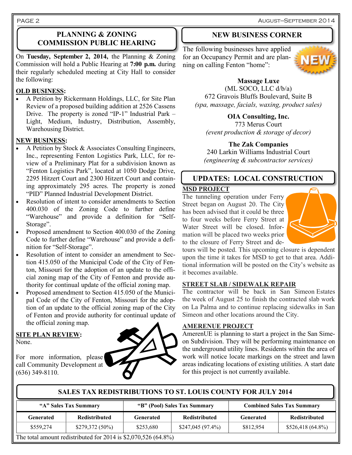PAGE 2

#### **PLANNING & ZONING COMMISSION PUBLIC HEARING**

On **Tuesday, September 2, 2014,** the Planning & Zoning Commission will hold a Public Hearing at **7:00 p.m.** during their regularly scheduled meeting at City Hall to consider the following:

#### **OLD BUSINESS:**

 A Petition by Rickermann Holdings, LLC, for Site Plan Review of a proposed building addition at 2526 Cassens Drive. The property is zoned "IP-1" Industrial Park – Light, Medium, Industry, Distribution, Assembly, Warehousing District.

#### **NEW BUSINESS:**

- A Petition by Stock & Associates Consulting Engineers, Inc., representing Fenton Logistics Park, LLC, for review of a Preliminary Plat for a subdivision known as "Fenton Logistics Park", located at 1050 Dodge Drive, 2295 Hitzert Court and 2300 Hitzert Court and containing approximately 295 acres. The property is zoned "PID" Planned Industrial Development District.
- Resolution of intent to consider amendments to Section 400.030 of the Zoning Code to further define "Warehouse" and provide a definition for "Self-Storage".
- Proposed amendment to Section 400.030 of the Zoning Code to further define "Warehouse" and provide a definition for "Self-Storage".
- Resolution of intent to consider an amendment to Section 415.050 of the Municipal Code of the City of Fenton, Missouri for the adoption of an update to the official zoning map of the City of Fenton and provide authority for continual update of the official zoning map.
- Proposed amendment to Section 415.050 of the Municipal Code of the City of Fenton, Missouri for the adoption of an update to the official zoning map of the City of Fenton and provide authority for continual update of the official zoning map.

#### **SITE PLAN REVIEW:**  None.

For more information, please call Community Development at (636) 349-8110.



#### **NEW BUSINESS CORNER**

The following businesses have applied for an Occupancy Permit and are planning on calling Fenton "home":



#### **Massage Luxe**

(ML SOCO, LLC d/b/a) 672 Gravois Bluffs Boulevard, Suite B *(spa, massage, facials, waxing, product sales)*

#### **OIA Consulting, Inc.**

773 Merus Court *(event production & storage of decor)*

#### **The Zak Companies**

240 Larkin Williams Industrial Court *(engineering & subcontractor services)*

#### **UPDATES: LOCAL CONSTRUCTION**

#### **MSD PROJECT**

The tunneling operation under Ferry Street began on August 20. The City has been advised that it could be three to four weeks before Ferry Street at Water Street will be closed. Information will be placed two weeks prior to the closure of Ferry Street and de-



tours will be posted. This upcoming closure is dependent upon the time it takes for MSD to get to that area. Additional information will be posted on the City's website as it becomes available.

#### **STREET SLAB / SIDEWALK REPAIR**

The contractor will be back in San Simeon Estates the week of August 25 to finish the contracted slab work on La Palma and to continue replacing sidewalks in San Simeon and other locations around the City.

#### **AMERENUE PROJECT**

AmerenUE is planning to start a project in the San Simeon Subdivision. They will be performing maintenance on the underground utility lines. Residents within the area of work will notice locate markings on the street and lawn areas indicating locations of existing utilities. A start date for this project is not currently available.

# **"A" Sales Tax Summary "B" (Pool) Sales Tax Summary Combined Sales Tax Summary Generated Redistributed Generated Redistributed Generated Redistributed** \$559,274 | \$279,372 (50%) | \$253,680 | \$247,045 (97.4%) | \$812,954 | \$526,418 (64.8%) **SALES TAX REDISTRIBUTIONS TO ST. LOUIS COUNTY FOR JULY 2014**

The total amount redistributed for 2014 is \$2,070,526 (64.8%)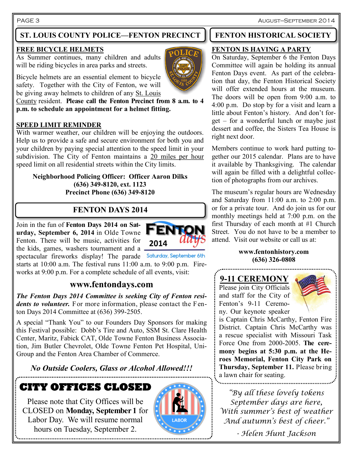PAGE 3 August–September 2014

# **ST. LOUIS COUNTY POLICE—FENTON PRECINCT | FENTON HISTORICAL SOCIETY**

#### **FREE BICYCLE HELMETS**

As Summer continues, many children and adults will be riding bicycles in area parks and streets.

Bicycle helmets are an essential element to bicycle safety. Together with the City of Fenton, we will be giving away helmets to children of any St. Louis

County resident. **Please call the Fenton Precinct from 8 a.m. to 4 p.m. to schedule an appointment for a helmet fitting.**

#### **SPEED LIMIT REMINDER**

With warmer weather, our children will be enjoying the outdoors. Help us to provide a safe and secure environment for both you and your children by paying special attention to the speed limit in your subdivision. The City of Fenton maintains a 20 miles per hour speed limit on all residential streets within the City limits.

#### **Neighborhood Policing Officer: Officer Aaron Dilks (636) 349-8120, ext. 1123 Precinct Phone (636) 349-8120**

# **FENTON DAYS 2014**

Join in the fun of **Fenton Days 2014 on Saturday, September 6, 2014** in Olde Towne Fenton. There will be music, activities for the kids, games, washers tournament and a

spectacular fireworks display! The parade Saturday, September 6th starts at 10:00 a.m. The festival runs 11:00 a.m. to 9:00 p.m. Fireworks at 9:00 p.m. For a complete schedule of all events, visit:

# **www.fentondays.com**

*The Fenton Days 2014 Committee is seeking City of Fenton residents to volunteer.* For more information, please contact the Fenton Days 2014 Committee at (636) 399-2505.

A special "Thank You" to our Founders Day Sponsors for making this Festival possible: Dobb's Tire and Auto, SSM St. Clare Health Center, Maritz, Fabick CAT, Olde Towne Fenton Business Association, Jim Butler Chevrolet, Olde Towne Fenton Pet Hospital, Uni-Group and the Fenton Area Chamber of Commerce.

# *No Outside Coolers, Glass or Alcohol Allowed!!!*

# **CITY OFFICES CLOSED**

Please note that City Offices will be CLOSED on **Monday, September 1** for Labor Day. We will resume normal hours on Tuesday, September 2.



**FENT** 

2014

#### **FENTON IS HAVING A PARTY**

On Saturday, September 6 the Fenton Days Committee will again be holding its annual Fenton Days event. As part of the celebration that day, the Fenton Historical Society will offer extended hours at the museum. The doors will be open from 9:00 a.m. to 4:00 p.m. Do stop by for a visit and learn a little about Fenton's history. And don't forget – for a wonderful lunch or maybe just dessert and coffee, the Sisters Tea House is right next door.

Members continue to work hard putting together our 2015 calendar. Plans are to have it available by Thanksgiving. The calendar will again be filled with a delightful collection of photographs from our archives.

The museum's regular hours are Wednesday and Saturday from 11:00 a.m. to 2:00 p.m. or for a private tour. And do join us for our monthly meetings held at 7:00 p.m. on the first Thursday of each month at #1 Church Street. You do not have to be a member to attend. Visit our website or call us at:

#### **www.fentonhistory.com (636) 326-0808**

# **9-11 CEREMONY**

Please join City Officials and staff for the City of Fenton's 9-11 Ceremony. Our keynote speaker



is Captain Chris McCarthy, Fenton Fire District. Captain Chris McCarthy was a rescue specialist with Missouri Task Force One from 2000-2005. **The ceremony begins at 5:30 p.m. at the Heroes Memorial, Fenton City Park on Thursday, September 11.** Please bring a lawn chair for seating.

*"By all these lovely tokens September days are here, With summer's best of weather And autumn's best of cheer." - Helen Hunt Jackson*

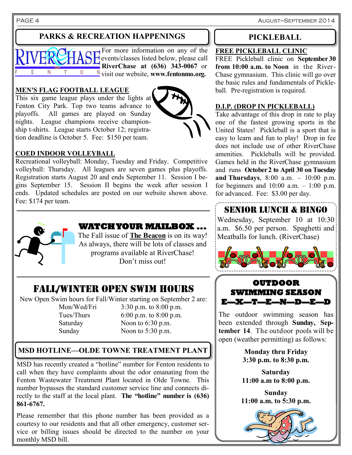PAGE 4 **AUGUST**—SEPTEMBER 2014

# **PARKS & RECREATION HAPPENINGS**

For more information on any of the events/classes listed below, please call **RiverChase at (636) 343-0067** or visit our website, **www.fentonmo.org.**

#### **MEN'S FLAG FOOTBALL LEAGUE**

This six game league plays under the lights at Fenton City Park. Top two teams advance to playoffs. All games are played on Sunday nights. League champions receive championship t-shirts. League starts October 12; registration deadline is October 5. Fee: \$150 per team.



#### **COED INDOOR VOLLEYBALL**

Recreational volleyball: Monday, Tuesday and Friday. Competitive volleyball: Thursday. All leagues are seven games plus playoffs. Registration starts August 20 and ends September 11. Session I begins September 15. Session II begins the week after session I ends. Updated schedules are posted on our website shown above. Fee: \$174 per team.



### **WATCH YOUR MAILBOX ...**

The Fall issue of **The Beacon** is on its way! As always, there will be lots of classes and programs available at RiverChase! Don't miss out!

# FALL/WINTER OPEN SWIM HOURS

New Open Swim hours for Fall/Winter starting on September 2 are: Mon/Wed/Fri 3:30 p.m. to 8:00 p.m. Tues/Thurs  $6:00 \text{ p.m.}$  to  $8:00 \text{ p.m.}$ Saturday Noon to 6:30 p.m.

Sunday Noon to 5:30 p.m.

# **MSD HOTLINE—OLDE TOWNE TREATMENT PLANT**

MSD has recently created a "hotline" number for Fenton residents to call when they have complaints about the odor emanating from the Fenton Wastewater Treatment Plant located in Olde Towne. This number bypasses the standard customer service line and connects directly to the staff at the local plant. **The "hotline" number is (636) 861-6767.** 

Please remember that this phone number has been provided as a courtesy to our residents and that all other emergency, customer service or billing issues should be directed to the number on your monthly MSD bill.

### **PICKLEBALL**

#### **FREE PICKLEBALL CLINIC**

FREE Pickleball clinic on **September 30 from 10:00 a.m. to Noon** in the River-Chase gymnasium. This clinic will go over the basic rules and fundamentals of Pickleball. Pre-registration is required.

#### **D.I.P. (DROP IN PICKLEBALL)**

Take advantage of this drop in rate to play one of the fastest growing sports in the United States! Pickleball is a sport that is easy to learn and fun to play! Drop in fee does not include use of other RiverChase amenities. Pickleballs will be provided. Games held in the RiverChase gymnasium and runs **October 2 to April 30 on Tuesday and Thursdays**, 8:00 a.m. – 10:00 p.m. for beginners and  $10:00$  a.m.  $-1:00$  p.m. for advanced. Fee: \$3.00 per day.

# SENIOR LUNCH & BINGO

Wednesday, September 10 at 10:30 a.m. \$6.50 per person. Spaghetti and Meatballs for lunch. (RiverChase)





The outdoor swimming season has been extended through **Sunday, September 14**. The outdoor pools will be open (weather permitting) as follows:

> **Monday thru Friday 3:30 p.m. to 8:30 p.m.**

> **Saturday 11:00 a.m to 8:00 p.m.**

**Sunday 11:00 a.m. to 5:30 p.m.**

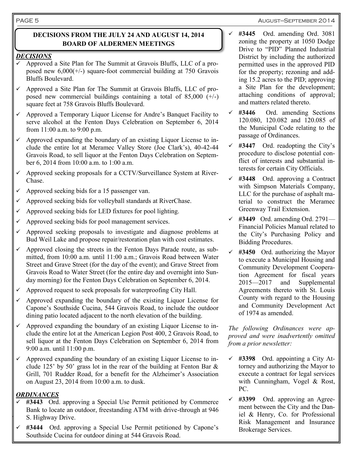#### August—September 2014

#### **DECISIONS FROM THE JULY 24 AND AUGUST 14, 2014 BOARD OF ALDERMEN MEETINGS**

#### *DECISIONS*

- $\checkmark$  Approved a Site Plan for The Summit at Gravois Bluffs, LLC of a proposed new 6,000(+/-) square-foot commercial building at 750 Gravois Bluffs Boulevard.
- $\checkmark$  Approved a Site Plan for The Summit at Gravois Bluffs, LLC of proposed new commercial buildings containing a total of  $85,000 (+/-)$ square feet at 758 Gravois Bluffs Boulevard.
- $\checkmark$  Approved a Temporary Liquor License for Andre's Banquet Facility to serve alcohol at the Fenton Days Celebration on September 6, 2014 from 11:00 a.m. to 9:00 p.m.
- Approved expanding the boundary of an existing Liquor License to include the entire lot at Meramec Valley Store (Joe Clark's), 40-42-44 Gravois Road, to sell liquor at the Fenton Days Celebration on September 6, 2014 from 10:00 a.m. to 1:00 a.m.
- $\checkmark$  Approved seeking proposals for a CCTV/Surveillance System at River-Chase.
- $\sim$  Approved seeking bids for a 15 passenger van.
- Approved seeking bids for volleyball standards at RiverChase.
- Approved seeking bids for LED fixtures for pool lighting.
- Approved seeking bids for pool management services.
- Approved seeking proposals to investigate and diagnose problems at Bud Weil Lake and propose repair/restoration plan with cost estimates.
- Approved closing the streets in the Fenton Days Parade route, as submitted, from 10:00 a.m. until 11:00 a.m.; Gravois Road between Water Street and Grave Street (for the day of the event); and Grave Street from Gravois Road to Water Street (for the entire day and overnight into Sunday morning) for the Fenton Days Celebration on September 6, 2014.
- $\checkmark$  Approved request to seek proposals for waterproofing City Hall.
- $\checkmark$  Approved expanding the boundary of the existing Liquor License for Capone's Southside Cucina, 544 Gravois Road, to include the outdoor dining patio located adjacent to the north elevation of the building.
- $\checkmark$  Approved expanding the boundary of an existing Liquor License to include the entire lot at the American Legion Post 400, 2 Gravois Road, to sell liquor at the Fenton Days Celebration on September 6, 2014 from 9:00 a.m. until 11:00 p.m.
- Approved expanding the boundary of an existing Liquor License to include 125' by 50' grass lot in the rear of the building at Fenton Bar & Grill, 701 Rudder Road, for a benefit for the Alzheimer's Association on August 23, 2014 from 10:00 a.m. to dusk.

#### *ORDINANCES*

- S. Highway Drive.<br>
Risk Management and Insurance **#3443** Ord. approving a Special Use Permit petitioned by Commerce Bank to locate an outdoor, freestanding ATM with drive-through at 946 S. Highway Drive.
- **#3444** Ord. approving a Special Use Permit petitioned by Capone's Southside Cucina for outdoor dining at 544 Gravois Road.
- **#3445** Ord. amending Ord. 3081 zoning the property at 1050 Dodge Drive to "PID" Planned Industrial District by including the authorized permitted uses in the approved PID for the property; rezoning and adding 15.2 acres to the PID; approving a Site Plan for the development; attaching conditions of approval; and matters related thereto.
- **#3446** Ord. amending Sections 120.080, 120.082 and 120.085 of the Municipal Code relating to the passage of Ordinances.
- $\checkmark$  #3447 Ord. readopting the City's procedure to disclose potential conflict of interests and substantial interests for certain City Officials.
- **#3448** Ord. approving a Contract with Simpson Materials Company, LLC for the purchase of asphalt material to construct the Meramec Greenway Trail Extension.
- **#3449** Ord. amending Ord. 2791— Financial Policies Manual related to the City's Purchasing Policy and Bidding Procedures.
- **#3450** Ord. authorizing the Mayor to execute a Municipal Housing and Community Development Cooperation Agreement for fiscal years 2015—2017 and Supplemental Agreements thereto with St. Louis County with regard to the Housing and Community Development Act of 1974 as amended.

*The following Ordinances were approved and were inadvertently omitted from a prior newsletter:*

- **#3398** Ord. appointing a City Attorney and authorizing the Mayor to execute a contract for legal services with Cunningham, Vogel & Rost, PC.
- **#3399** Ord. approving an Agreement between the City and the Daniel & Henry, Co. for Professional Brokerage Services.

#### PAGE 5